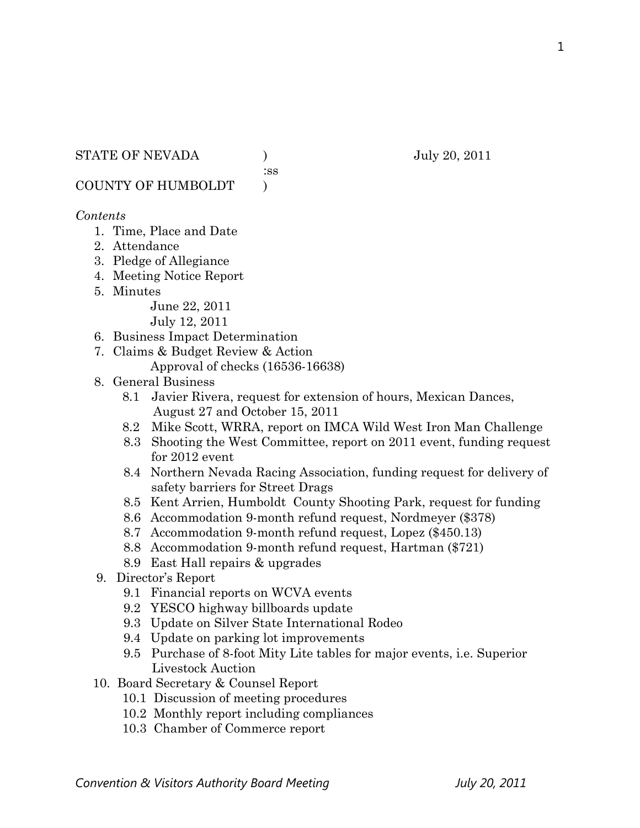#### STATE OF NEVADA ) July 20, 2011

:ss

COUNTY OF HUMBOLDT )

#### *Contents*

- 1. Time, Place and Date
- 2. Attendance
- 3. Pledge of Allegiance
- 4. Meeting Notice Report
- 5. Minutes

June 22, 2011

July 12, 2011

- 6. Business Impact Determination
- 7. Claims & Budget Review & Action
	- Approval of checks (16536-16638)
- 8. General Business
	- 8.1 Javier Rivera, request for extension of hours, Mexican Dances, August 27 and October 15, 2011
	- 8.2 Mike Scott, WRRA, report on IMCA Wild West Iron Man Challenge
	- 8.3 Shooting the West Committee, report on 2011 event, funding request for 2012 event
	- 8.4 Northern Nevada Racing Association, funding request for delivery of safety barriers for Street Drags
	- 8.5 Kent Arrien, Humboldt County Shooting Park, request for funding
	- 8.6 Accommodation 9-month refund request, Nordmeyer (\$378)
	- 8.7 Accommodation 9-month refund request, Lopez (\$450.13)
	- 8.8 Accommodation 9-month refund request, Hartman (\$721)
	- 8.9 East Hall repairs & upgrades
- 9. Director's Report
	- 9.1 Financial reports on WCVA events
	- 9.2 YESCO highway billboards update
	- 9.3 Update on Silver State International Rodeo
	- 9.4 Update on parking lot improvements
	- 9.5 Purchase of 8-foot Mity Lite tables for major events, i.e. Superior Livestock Auction
- 10. Board Secretary & Counsel Report
	- 10.1 Discussion of meeting procedures
	- 10.2 Monthly report including compliances
	- 10.3 Chamber of Commerce report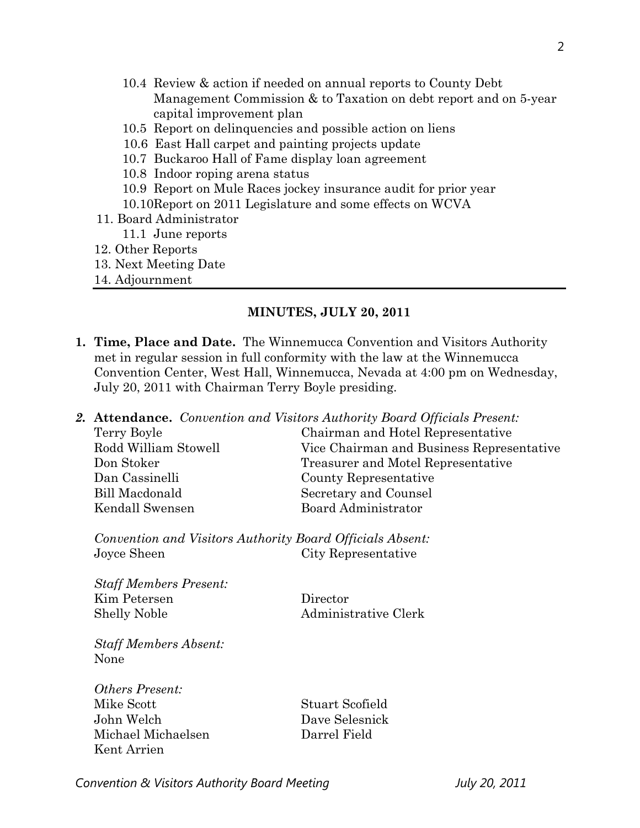- 10.4 Review & action if needed on annual reports to County Debt Management Commission & to Taxation on debt report and on 5-year capital improvement plan
- 10.5 Report on delinquencies and possible action on liens
- 10.6 East Hall carpet and painting projects update
- 10.7 Buckaroo Hall of Fame display loan agreement
- 10.8 Indoor roping arena status
- 10.9 Report on Mule Races jockey insurance audit for prior year
- 10.10Report on 2011 Legislature and some effects on WCVA
- 11. Board Administrator
	- 11.1 June reports
- 12. Other Reports
- 13. Next Meeting Date
- 14. Adjournment

#### **MINUTES, JULY 20, 2011**

- **1. Time, Place and Date.** The Winnemucca Convention and Visitors Authority met in regular session in full conformity with the law at the Winnemucca Convention Center, West Hall, Winnemucca, Nevada at 4:00 pm on Wednesday, July 20, 2011 with Chairman Terry Boyle presiding.
- *2.* **Attendance.** *Convention and Visitors Authority Board Officials Present:* 
	- Bill Macdonald Secretary and Counsel Kendall Swensen Board Administrator

Terry Boyle Chairman and Hotel Representative Rodd William Stowell Vice Chairman and Business Representative Don Stoker Treasurer and Motel Representative Dan Cassinelli County Representative

*Convention and Visitors Authority Board Officials Absent:*  Joyce Sheen City Representative

*Staff Members Present:*  Kim Petersen Director Shelly Noble Administrative Clerk

*Staff Members Absent:*  None

*Others Present:*  Mike Scott Scofield John Welch Dave Selesnick Michael Michaelsen Darrel Field Kent Arrien

*Convention & Visitors Authority Board Meeting July 20, 2011*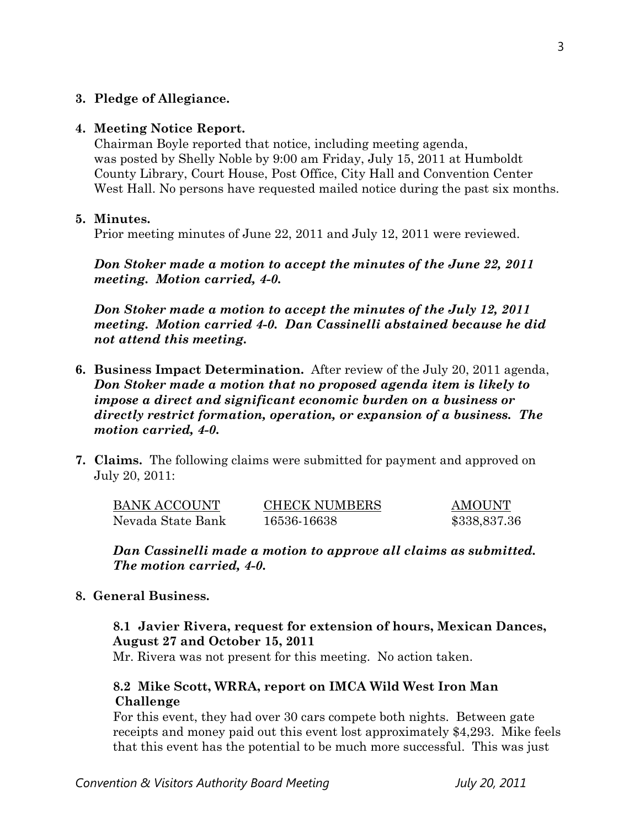#### **3. Pledge of Allegiance.**

#### **4. Meeting Notice Report.**

Chairman Boyle reported that notice, including meeting agenda, was posted by Shelly Noble by 9:00 am Friday, July 15, 2011 at Humboldt County Library, Court House, Post Office, City Hall and Convention Center West Hall. No persons have requested mailed notice during the past six months.

#### **5. Minutes.**

Prior meeting minutes of June 22, 2011 and July 12, 2011 were reviewed.

*Don Stoker made a motion to accept the minutes of the June 22, 2011 meeting. Motion carried, 4-0.* 

*Don Stoker made a motion to accept the minutes of the July 12, 2011 meeting. Motion carried 4-0. Dan Cassinelli abstained because he did not attend this meeting.* 

- **6. Business Impact Determination.** After review of the July 20, 2011 agenda, *Don Stoker made a motion that no proposed agenda item is likely to impose a direct and significant economic burden on a business or directly restrict formation, operation, or expansion of a business. The motion carried, 4-0.*
- **7. Claims.** The following claims were submitted for payment and approved on July 20, 2011:

| <b>BANK ACCOUNT</b> | <b>CHECK NUMBERS</b> | AMOUNT       |
|---------------------|----------------------|--------------|
| Nevada State Bank   | 16536-16638          | \$338,837.36 |

*Dan Cassinelli made a motion to approve all claims as submitted. The motion carried, 4-0.* 

#### **8. General Business.**

## **8.1 Javier Rivera, request for extension of hours, Mexican Dances, August 27 and October 15, 2011**

Mr. Rivera was not present for this meeting. No action taken.

## **8.2 Mike Scott, WRRA, report on IMCA Wild West Iron Man Challenge**

For this event, they had over 30 cars compete both nights. Between gate receipts and money paid out this event lost approximately \$4,293. Mike feels that this event has the potential to be much more successful. This was just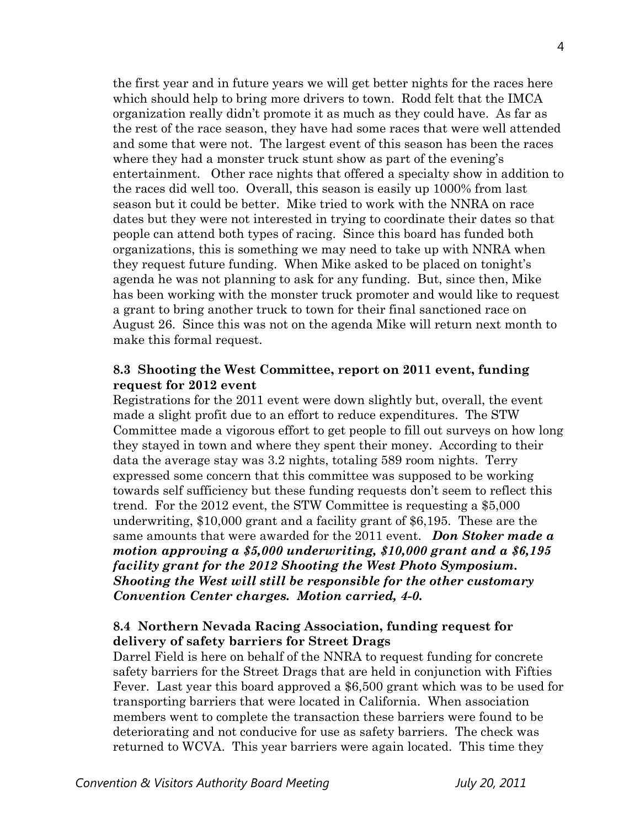the first year and in future years we will get better nights for the races here which should help to bring more drivers to town. Rodd felt that the IMCA organization really didn't promote it as much as they could have. As far as the rest of the race season, they have had some races that were well attended and some that were not. The largest event of this season has been the races where they had a monster truck stunt show as part of the evening's entertainment. Other race nights that offered a specialty show in addition to the races did well too. Overall, this season is easily up 1000% from last season but it could be better. Mike tried to work with the NNRA on race dates but they were not interested in trying to coordinate their dates so that people can attend both types of racing. Since this board has funded both organizations, this is something we may need to take up with NNRA when they request future funding. When Mike asked to be placed on tonight's agenda he was not planning to ask for any funding. But, since then, Mike has been working with the monster truck promoter and would like to request a grant to bring another truck to town for their final sanctioned race on August 26. Since this was not on the agenda Mike will return next month to make this formal request.

#### **8.3 Shooting the West Committee, report on 2011 event, funding request for 2012 event**

Registrations for the 2011 event were down slightly but, overall, the event made a slight profit due to an effort to reduce expenditures. The STW Committee made a vigorous effort to get people to fill out surveys on how long they stayed in town and where they spent their money. According to their data the average stay was 3.2 nights, totaling 589 room nights. Terry expressed some concern that this committee was supposed to be working towards self sufficiency but these funding requests don't seem to reflect this trend. For the 2012 event, the STW Committee is requesting a \$5,000 underwriting, \$10,000 grant and a facility grant of \$6,195. These are the same amounts that were awarded for the 2011 event. *Don Stoker made a motion approving a \$5,000 underwriting, \$10,000 grant and a \$6,195 facility grant for the 2012 Shooting the West Photo Symposium***.**  *Shooting the West will still be responsible for the other customary Convention Center charges. Motion carried, 4-0.*

## **8.4 Northern Nevada Racing Association, funding request for delivery of safety barriers for Street Drags**

Darrel Field is here on behalf of the NNRA to request funding for concrete safety barriers for the Street Drags that are held in conjunction with Fifties Fever. Last year this board approved a \$6,500 grant which was to be used for transporting barriers that were located in California. When association members went to complete the transaction these barriers were found to be deteriorating and not conducive for use as safety barriers. The check was returned to WCVA. This year barriers were again located. This time they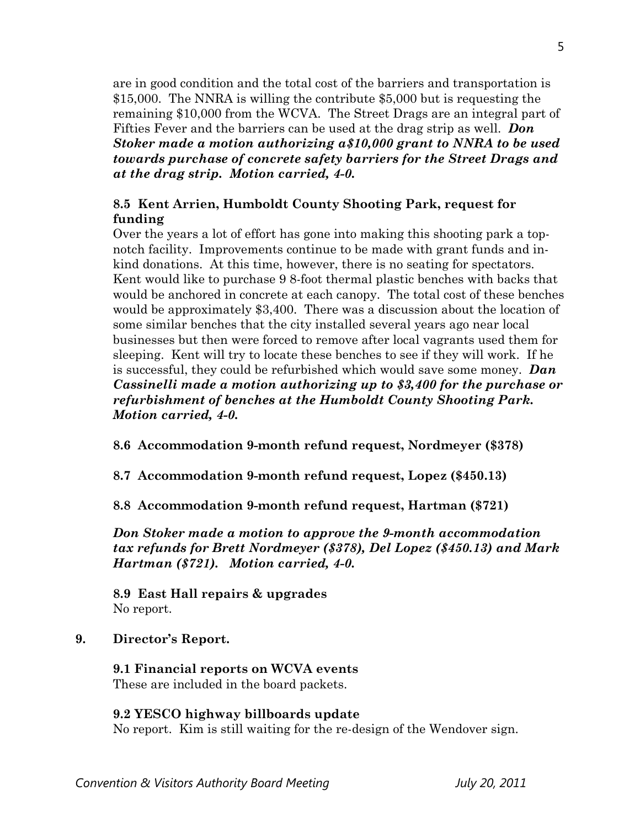are in good condition and the total cost of the barriers and transportation is \$15,000. The NNRA is willing the contribute \$5,000 but is requesting the remaining \$10,000 from the WCVA. The Street Drags are an integral part of Fifties Fever and the barriers can be used at the drag strip as well. *Don Stoker made a motion authorizing a\$10,000 grant to NNRA to be used towards purchase of concrete safety barriers for the Street Drags and at the drag strip. Motion carried, 4-0.* 

## **8.5 Kent Arrien, Humboldt County Shooting Park, request for funding**

Over the years a lot of effort has gone into making this shooting park a topnotch facility. Improvements continue to be made with grant funds and inkind donations. At this time, however, there is no seating for spectators. Kent would like to purchase 9 8-foot thermal plastic benches with backs that would be anchored in concrete at each canopy. The total cost of these benches would be approximately \$3,400. There was a discussion about the location of some similar benches that the city installed several years ago near local businesses but then were forced to remove after local vagrants used them for sleeping. Kent will try to locate these benches to see if they will work. If he is successful, they could be refurbished which would save some money. *Dan Cassinelli made a motion authorizing up to \$3,400 for the purchase or refurbishment of benches at the Humboldt County Shooting Park. Motion carried, 4-0.* 

**8.6 Accommodation 9-month refund request, Nordmeyer (\$378)** 

**8.7 Accommodation 9-month refund request, Lopez (\$450.13)** 

**8.8 Accommodation 9-month refund request, Hartman (\$721)** 

*Don Stoker made a motion to approve the 9-month accommodation tax refunds for Brett Nordmeyer (\$378), Del Lopez (\$450.13) and Mark Hartman (\$721). Motion carried, 4-0.*

**8.9 East Hall repairs & upgrades**  No report.

# **9. Director's Report.**

# **9.1 Financial reports on WCVA events**

These are included in the board packets.

# **9.2 YESCO highway billboards update**

No report. Kim is still waiting for the re-design of the Wendover sign.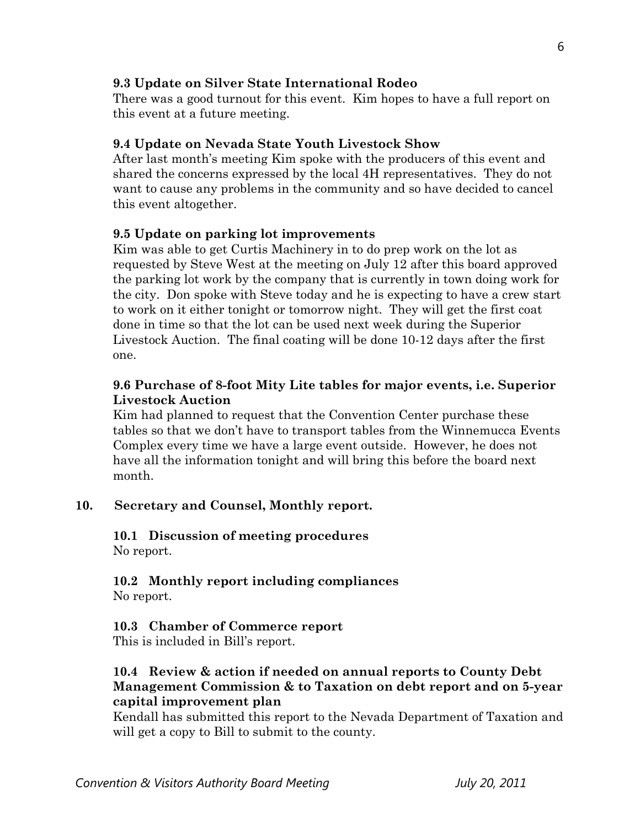#### **9.3 Update on Silver State International Rodeo**

There was a good turnout for this event. Kim hopes to have a full report on this event at a future meeting.

#### **9.4 Update on Nevada State Youth Livestock Show**

After last month's meeting Kim spoke with the producers of this event and shared the concerns expressed by the local 4H representatives. They do not want to cause any problems in the community and so have decided to cancel this event altogether.

#### **9.5 Update on parking lot improvements**

Kim was able to get Curtis Machinery in to do prep work on the lot as requested by Steve West at the meeting on July 12 after this board approved the parking lot work by the company that is currently in town doing work for the city. Don spoke with Steve today and he is expecting to have a crew start to work on it either tonight or tomorrow night. They will get the first coat done in time so that the lot can be used next week during the Superior Livestock Auction. The final coating will be done 10-12 days after the first one.

## **9.6 Purchase of 8-foot Mity Lite tables for major events, i.e. Superior Livestock Auction**

Kim had planned to request that the Convention Center purchase these tables so that we don't have to transport tables from the Winnemucca Events Complex every time we have a large event outside. However, he does not have all the information tonight and will bring this before the board next month.

## **10. Secretary and Counsel, Monthly report.**

**10.1 Discussion of meeting procedures**  No report.

 **10.2 Monthly report including compliances**  No report.

#### **10.3 Chamber of Commerce report**

This is included in Bill's report.

## **10.4 Review & action if needed on annual reports to County Debt Management Commission & to Taxation on debt report and on 5-year capital improvement plan**

Kendall has submitted this report to the Nevada Department of Taxation and will get a copy to Bill to submit to the county.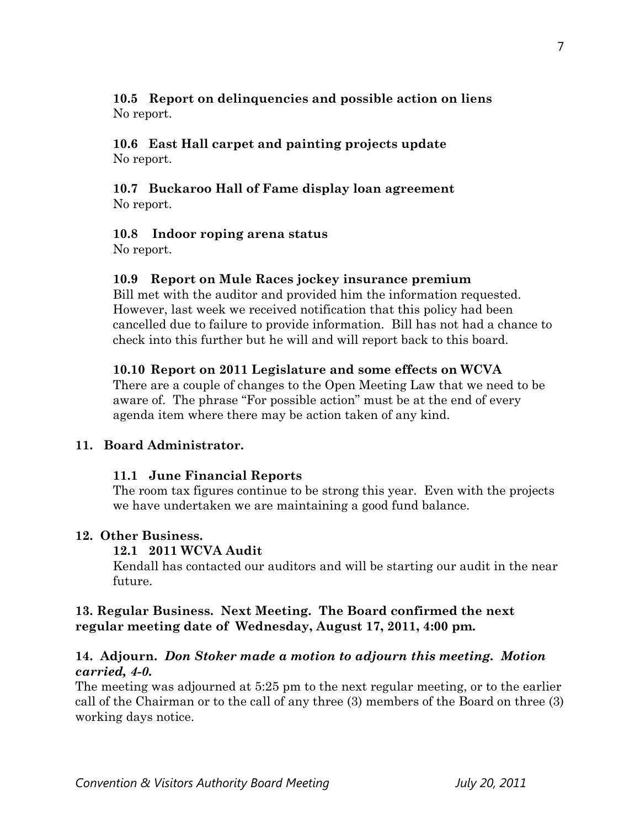## **10.5 Report on delinquencies and possible action on liens**  No report.

#### **10.6 East Hall carpet and painting projects update**  No report.

## **10.7 Buckaroo Hall of Fame display loan agreement**  No report.

## **10.8 Indoor roping arena status**

No report.

## **10.9 Report on Mule Races jockey insurance premium**

Bill met with the auditor and provided him the information requested. However, last week we received notification that this policy had been cancelled due to failure to provide information. Bill has not had a chance to check into this further but he will and will report back to this board.

## **10.10 Report on 2011 Legislature and some effects on WCVA**

There are a couple of changes to the Open Meeting Law that we need to be aware of. The phrase "For possible action" must be at the end of every agenda item where there may be action taken of any kind.

## **11. Board Administrator.**

## **11.1 June Financial Reports**

The room tax figures continue to be strong this year. Even with the projects we have undertaken we are maintaining a good fund balance.

#### **12. Other Business.**

#### **12.1 2011 WCVA Audit**

Kendall has contacted our auditors and will be starting our audit in the near future.

## **13. Regular Business. Next Meeting. The Board confirmed the next regular meeting date of Wednesday, August 17, 2011, 4:00 pm.**

## **14. Adjourn.** *Don Stoker made a motion to adjourn this meeting. Motion carried, 4-0.*

The meeting was adjourned at 5:25 pm to the next regular meeting, or to the earlier call of the Chairman or to the call of any three (3) members of the Board on three (3) working days notice.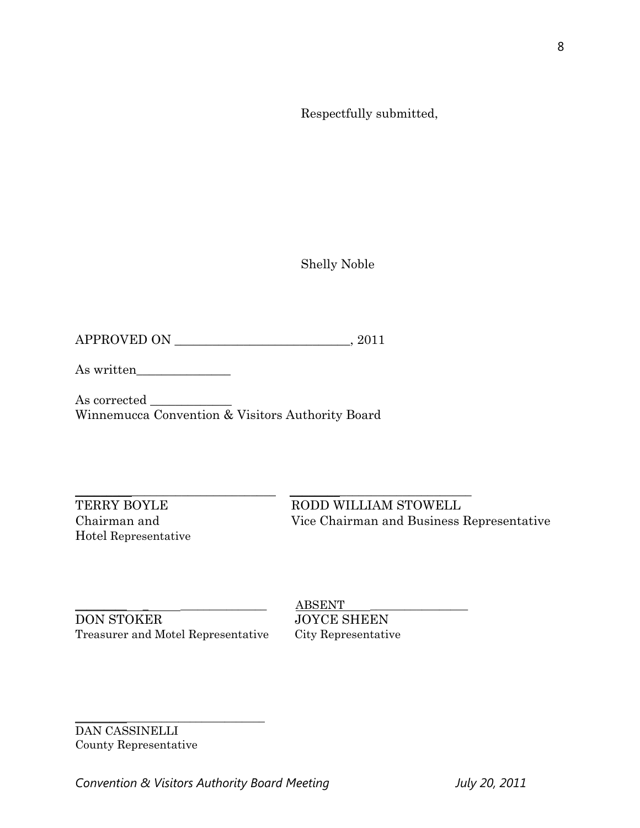Respectfully submitted,

Shelly Noble

APPROVED ON \_\_\_\_\_\_\_\_\_\_\_\_\_\_\_\_\_\_\_\_\_\_\_\_\_\_\_\_, 2011

As written\_\_\_\_\_\_\_\_\_\_\_\_\_\_\_

As corrected \_\_\_\_\_\_\_\_\_\_\_\_\_ Winnemucca Convention & Visitors Authority Board

Hotel Representative

\_\_\_\_\_\_\_\_\_\_\_\_\_\_\_\_\_\_\_\_\_\_\_\_\_\_\_\_\_\_\_\_ \_\_\_\_\_\_\_\_\_\_\_\_\_\_\_\_\_\_\_\_\_\_\_\_\_\_\_\_\_ TERRY BOYLE RODD WILLIAM STOWELL Chairman and Vice Chairman and Business Representative

DON STOKER JOYCE SHEEN Treasurer and Motel Representative City Representative

 ${\bf ABSENT}$ 

\_\_\_\_\_\_\_\_\_\_\_\_\_\_\_\_\_\_\_\_\_\_\_\_\_\_\_\_\_\_\_\_\_ DAN CASSINELLI County Representative

Convention & Visitors Authority Board Meeting **July 20, 2011** 

8